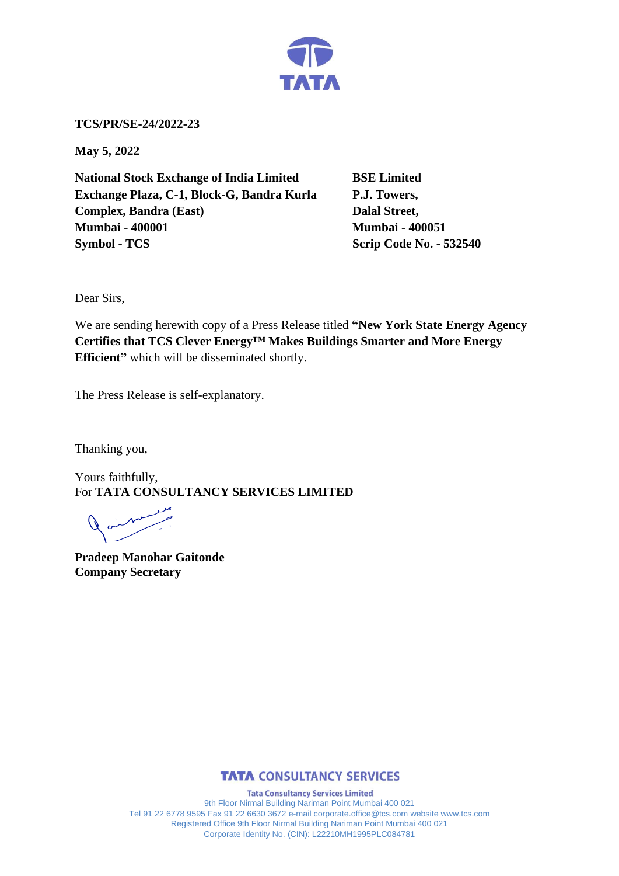

**TCS/PR/SE-24/2022-23**

**May 5, 2022**

**National Stock Exchange of India Limited BSE Limited Exchange Plaza, C-1, Block-G, Bandra Kurla P.J. Towers, Complex, Bandra (East)** Dalal Street, **Mumbai - 400001 Mumbai - 400051 Symbol - TCS Scrip Code No. - 532540** 

Dear Sirs,

We are sending herewith copy of a Press Release titled **"New York State Energy Agency Certifies that TCS Clever Energy™ Makes Buildings Smarter and More Energy Efficient"** which will be disseminated shortly.

The Press Release is self-explanatory.

Thanking you,

Yours faithfully, For **TATA CONSULTANCY SERVICES LIMITED**

**Pradeep Manohar Gaitonde Company Secretary**



**Tata Consultancy Services Limited** 9th Floor Nirmal Building Nariman Point Mumbai 400 021 Tel 91 22 6778 9595 Fax 91 22 6630 3672 e-mail corporate.office@tcs.com website www.tcs.com Registered Office 9th Floor Nirmal Building Nariman Point Mumbai 400 021 Corporate Identity No. (CIN): L22210MH1995PLC084781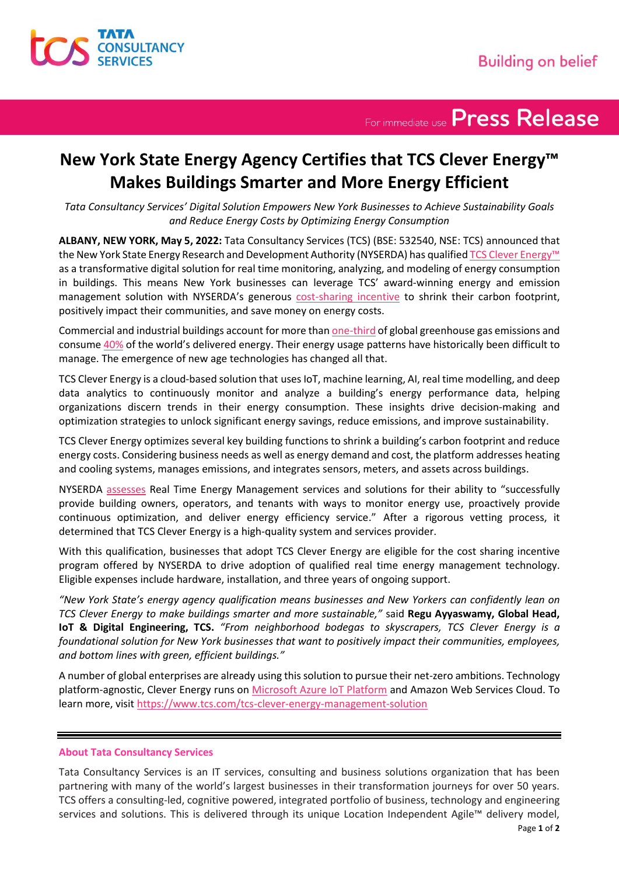

For immediate use Press Release

## **New York State Energy Agency Certifies that TCS Clever Energy™ Makes Buildings Smarter and More Energy Efficient**

*Tata Consultancy Services' Digital Solution Empowers New York Businesses to Achieve Sustainability Goals and Reduce Energy Costs by Optimizing Energy Consumption*

**ALBANY, NEW YORK, May 5, 2022:** Tata Consultancy Services (TCS) (BSE: 532540, NSE: TCS) announced that the New York State Energy Research and Development Authority (NYSERDA) has qualified [TCS Clever Energy](https://www.tcs.com/tcs-clever-energy-management-solution)™ as a transformative digital solution for real time monitoring, analyzing, and modeling of energy consumption in buildings. This means New York businesses can leverage TCS' award-winning energy and emission management solution with NYSERDA's generous [cost-sharing incentive](https://www.nyserda.ny.gov/All-Programs/Real-Time-Energy-Management) to shrink their carbon footprint, positively impact their communities, and save money on energy costs.

Commercial and industrial buildings account for more tha[n one-third](https://www.unep.org/news-and-stories/press-release/building-sector-emissions-hit-record-high-low-carbon-pandemic) of global greenhouse gas emissions and consum[e 40%](https://www.ase.org/categories/buildings) of the world's delivered energy. Their energy usage patterns have historically been difficult to manage. The emergence of new age technologies has changed all that.

TCS Clever Energy is a cloud-based solution that uses IoT, machine learning, AI, real time modelling, and deep data analytics to continuously monitor and analyze a building's energy performance data, helping organizations discern trends in their energy consumption. These insights drive decision-making and optimization strategies to unlock significant energy savings, reduce emissions, and improve sustainability.

TCS Clever Energy optimizes several key building functions to shrink a building's carbon footprint and reduce energy costs. Considering business needs as well as energy demand and cost, the platform addresses heating and cooling systems, manages emissions, and integrates sensors, meters, and assets across buildings.

NYSERDA [assesses](https://www.nyserda.ny.gov/All-Programs/Real-Time-Energy-Management/Vendor) Real Time Energy Management services and solutions for their ability to "successfully provide building owners, operators, and tenants with ways to monitor energy use, proactively provide continuous optimization, and deliver energy efficiency service." After a rigorous vetting process, it determined that TCS Clever Energy is a high-quality system and services provider.

With this qualification, businesses that adopt TCS Clever Energy are eligible for the cost sharing incentive program offered by NYSERDA to drive adoption of qualified real time energy management technology. Eligible expenses include hardware, installation, and three years of ongoing support.

*"New York State's energy agency qualification means businesses and New Yorkers can confidently lean on TCS Clever Energy to make buildings smarter and more sustainable,"* said **Regu Ayyaswamy, Global Head, IoT & Digital Engineering, TCS.** *"From neighborhood bodegas to skyscrapers, TCS Clever Energy is a foundational solution for New York businesses that want to positively impact their communities, employees, and bottom lines with green, efficient buildings."*

A number of global enterprises are already using this solution to pursue their net-zero ambitions. Technology platform-agnostic, Clever Energy runs on [Microsoft Azure IoT Platform](https://www.tcs.com/tcs-launches-clever-energy-sustainability-solutions-azure-helping-enterprises-reach-net-zero-goals) and Amazon Web Services Cloud. To learn more, visi[t https://www.tcs.com/tcs-clever-energy-management-solution](https://www.tcs.com/tcs-clever-energy-management-solution)

## **About Tata Consultancy Services**

Tata Consultancy Services is an IT services, consulting and business solutions organization that has been partnering with many of the world's largest businesses in their transformation journeys for over 50 years. TCS offers a consulting-led, cognitive powered, integrated portfolio of business, technology and engineering services and solutions. This is delivered through its unique Location Independent Agile™ delivery model,